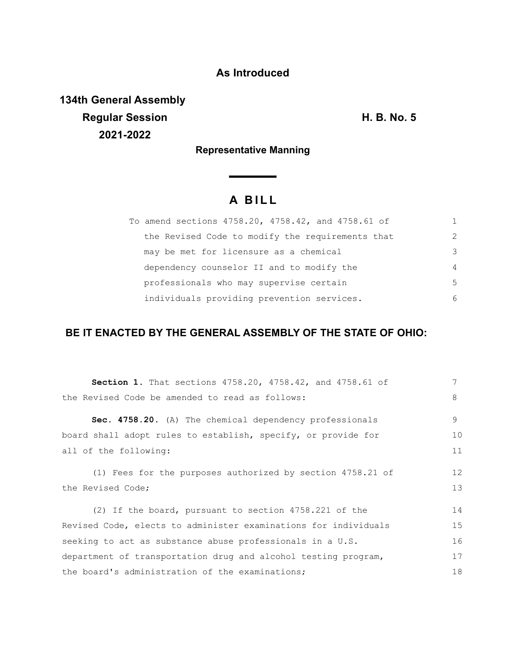# **As Introduced**

**134th General Assembly Regular Session H. B. No. 5 2021-2022**

### **Representative Manning**

# **A B I L L**

|  | To amend sections 4758.20, 4758.42, and 4758.61 of | 1.            |
|--|----------------------------------------------------|---------------|
|  | the Revised Code to modify the requirements that   | $\mathcal{L}$ |
|  | may be met for licensure as a chemical             | 3             |
|  | dependency counselor II and to modify the          | 4             |
|  | professionals who may supervise certain            | .5            |
|  | individuals providing prevention services.         | 6             |

## **BE IT ENACTED BY THE GENERAL ASSEMBLY OF THE STATE OF OHIO:**

| Section 1. That sections 4758.20, 4758.42, and 4758.61 of       | 7  |
|-----------------------------------------------------------------|----|
| the Revised Code be amended to read as follows:                 | 8  |
| Sec. 4758.20. (A) The chemical dependency professionals         | 9  |
| board shall adopt rules to establish, specify, or provide for   | 10 |
| all of the following:                                           | 11 |
| (1) Fees for the purposes authorized by section 4758.21 of      | 12 |
| the Revised Code;                                               | 13 |
| (2) If the board, pursuant to section 4758.221 of the           | 14 |
| Revised Code, elects to administer examinations for individuals | 15 |
| seeking to act as substance abuse professionals in a U.S.       | 16 |
| department of transportation drug and alcohol testing program,  | 17 |
| the board's administration of the examinations;                 | 18 |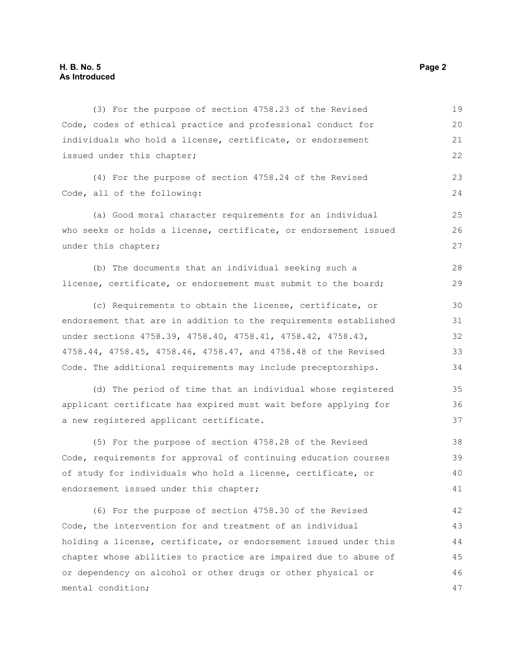| (3) For the purpose of section 4758.23 of the Revised            | 19 |
|------------------------------------------------------------------|----|
| Code, codes of ethical practice and professional conduct for     | 20 |
| individuals who hold a license, certificate, or endorsement      | 21 |
| issued under this chapter;                                       | 22 |
| (4) For the purpose of section 4758.24 of the Revised            | 23 |
| Code, all of the following:                                      | 24 |
| (a) Good moral character requirements for an individual          | 25 |
| who seeks or holds a license, certificate, or endorsement issued | 26 |
| under this chapter;                                              | 27 |
| (b) The documents that an individual seeking such a              | 28 |
| license, certificate, or endorsement must submit to the board;   | 29 |
| (c) Requirements to obtain the license, certificate, or          | 30 |
| endorsement that are in addition to the requirements established | 31 |
| under sections 4758.39, 4758.40, 4758.41, 4758.42, 4758.43,      | 32 |
| 4758.44, 4758.45, 4758.46, 4758.47, and 4758.48 of the Revised   | 33 |
| Code. The additional requirements may include preceptorships.    | 34 |
| (d) The period of time that an individual whose registered       | 35 |
| applicant certificate has expired must wait before applying for  | 36 |
| a new registered applicant certificate.                          | 37 |
| (5) For the purpose of section 4758.28 of the Revised            | 38 |
| Code, requirements for approval of continuing education courses  | 39 |
| of study for individuals who hold a license, certificate, or     | 40 |
| endorsement issued under this chapter;                           | 41 |
| (6) For the purpose of section 4758.30 of the Revised            | 42 |
| Code, the intervention for and treatment of an individual        | 43 |
| holding a license, certificate, or endorsement issued under this | 44 |
| chapter whose abilities to practice are impaired due to abuse of | 45 |
| or dependency on alcohol or other drugs or other physical or     | 46 |
| mental condition;                                                | 47 |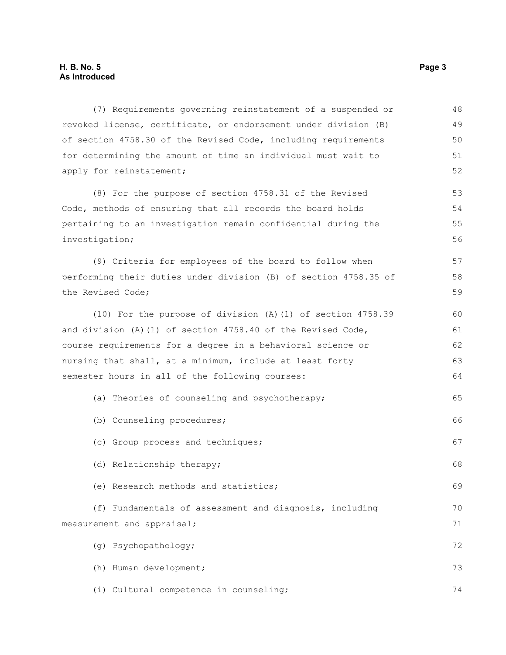#### **H. B. No. 5 Page 3 As Introduced**

| (7) Requirements governing reinstatement of a suspended or       | 48 |
|------------------------------------------------------------------|----|
| revoked license, certificate, or endorsement under division (B)  | 49 |
| of section 4758.30 of the Revised Code, including requirements   | 50 |
| for determining the amount of time an individual must wait to    | 51 |
| apply for reinstatement;                                         | 52 |
| (8) For the purpose of section 4758.31 of the Revised            | 53 |
| Code, methods of ensuring that all records the board holds       | 54 |
| pertaining to an investigation remain confidential during the    | 55 |
| investigation;                                                   | 56 |
| (9) Criteria for employees of the board to follow when           | 57 |
| performing their duties under division (B) of section 4758.35 of | 58 |
| the Revised Code;                                                | 59 |
| (10) For the purpose of division (A) (1) of section 4758.39      | 60 |
| and division (A) $(1)$ of section 4758.40 of the Revised Code,   | 61 |
| course requirements for a degree in a behavioral science or      | 62 |
| nursing that shall, at a minimum, include at least forty         | 63 |
| semester hours in all of the following courses:                  | 64 |
| (a) Theories of counseling and psychotherapy;                    | 65 |
| (b) Counseling procedures;                                       | 66 |
| (c) Group process and techniques;                                | 67 |
| (d) Relationship therapy;                                        | 68 |
| (e) Research methods and statistics;                             | 69 |
| (f) Fundamentals of assessment and diagnosis, including          | 70 |
| measurement and appraisal;                                       | 71 |
| (g) Psychopathology;                                             | 72 |
| (h) Human development;                                           | 73 |
| (i) Cultural competence in counseling;                           | 74 |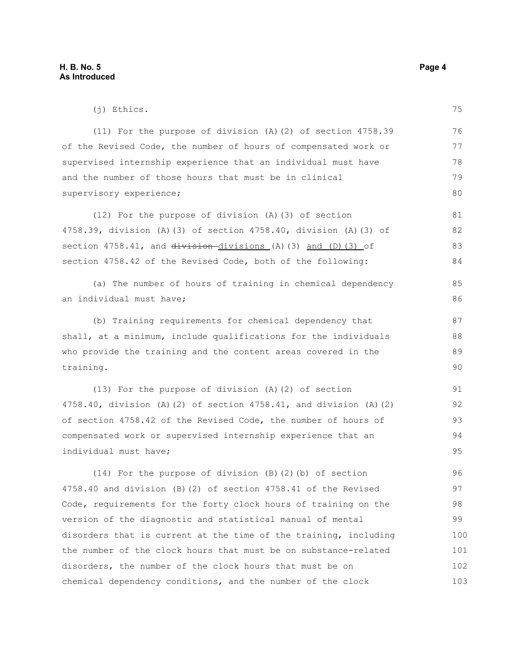(j) Ethics. (11) For the purpose of division (A)(2) of section 4758.39 of the Revised Code, the number of hours of compensated work or supervised internship experience that an individual must have and the number of those hours that must be in clinical supervisory experience; (12) For the purpose of division (A)(3) of section 4758.39, division (A)(3) of section 4758.40, division (A)(3) of section  $4758.41$ , and  $division-divisions$  (A)(3) and (D)(3) of section 4758.42 of the Revised Code, both of the following: (a) The number of hours of training in chemical dependency an individual must have; (b) Training requirements for chemical dependency that shall, at a minimum, include qualifications for the individuals who provide the training and the content areas covered in the training. (13) For the purpose of division (A)(2) of section 4758.40, division (A)(2) of section 4758.41, and division (A)(2) of section 4758.42 of the Revised Code, the number of hours of compensated work or supervised internship experience that an individual must have; 75 76 77 78 79 80 81 82 83 84 85 86 87 88 89  $90$ 91 92 93 94 95

(14) For the purpose of division (B)(2)(b) of section 4758.40 and division (B)(2) of section 4758.41 of the Revised Code, requirements for the forty clock hours of training on the version of the diagnostic and statistical manual of mental disorders that is current at the time of the training, including the number of the clock hours that must be on substance-related disorders, the number of the clock hours that must be on chemical dependency conditions, and the number of the clock 96 97 98 99 100 101 102 103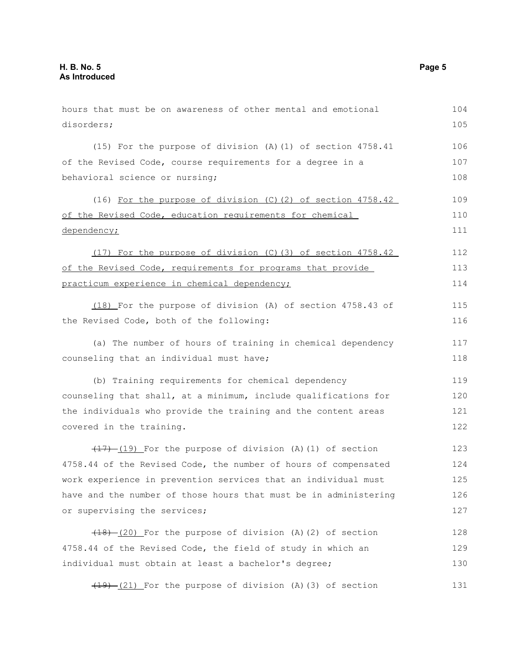hours that must be on awareness of other mental and emotional disorders; (15) For the purpose of division (A)(1) of section 4758.41 of the Revised Code, course requirements for a degree in a behavioral science or nursing; (16) For the purpose of division (C)(2) of section 4758.42 of the Revised Code, education requirements for chemical dependency; (17) For the purpose of division (C)(3) of section 4758.42 of the Revised Code, requirements for programs that provide practicum experience in chemical dependency; (18) For the purpose of division (A) of section 4758.43 of the Revised Code, both of the following: (a) The number of hours of training in chemical dependency counseling that an individual must have; (b) Training requirements for chemical dependency counseling that shall, at a minimum, include qualifications for the individuals who provide the training and the content areas covered in the training.  $(17)$   $(19)$  For the purpose of division (A)(1) of section 4758.44 of the Revised Code, the number of hours of compensated work experience in prevention services that an individual must have and the number of those hours that must be in administering or supervising the services;  $(18)$   $(20)$  For the purpose of division (A)(2) of section 4758.44 of the Revised Code, the field of study in which an individual must obtain at least a bachelor's degree;  $(19)$   $(21)$  For the purpose of division (A)(3) of section 104 105 106 107 108 109 110 111 112 113 114 115 116 117 118 119 120 121 122 123 124 125 126 127 128 129 130 131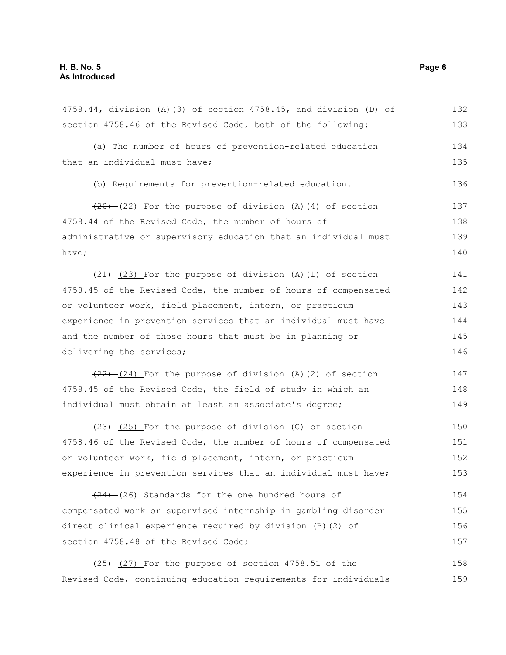| 4758.44, division (A)(3) of section 4758.45, and division (D) of | 132 |
|------------------------------------------------------------------|-----|
| section 4758.46 of the Revised Code, both of the following:      | 133 |
| (a) The number of hours of prevention-related education          | 134 |
| that an individual must have;                                    | 135 |
| (b) Requirements for prevention-related education.               | 136 |
| $(20)$ (22) For the purpose of division (A)(4) of section        | 137 |
| 4758.44 of the Revised Code, the number of hours of              | 138 |
| administrative or supervisory education that an individual must  | 139 |
| have;                                                            | 140 |
| $(21)$ $(23)$ For the purpose of division (A)(1) of section      | 141 |
| 4758.45 of the Revised Code, the number of hours of compensated  | 142 |
| or volunteer work, field placement, intern, or practicum         | 143 |
| experience in prevention services that an individual must have   | 144 |
| and the number of those hours that must be in planning or        | 145 |
| delivering the services;                                         | 146 |
| $(22)$ $(24)$ For the purpose of division (A)(2) of section      | 147 |
| 4758.45 of the Revised Code, the field of study in which an      | 148 |
| individual must obtain at least an associate's degree;           | 149 |
| $(23)$ $(25)$ For the purpose of division (C) of section         | 150 |
| 4758.46 of the Revised Code, the number of hours of compensated  | 151 |
| or volunteer work, field placement, intern, or practicum         | 152 |
| experience in prevention services that an individual must have;  | 153 |
| $(24)$ (26) Standards for the one hundred hours of               | 154 |
| compensated work or supervised internship in gambling disorder   | 155 |
| direct clinical experience required by division (B) (2) of       | 156 |
| section 4758.48 of the Revised Code;                             | 157 |
| $(25)$ $(27)$ For the purpose of section 4758.51 of the          | 158 |

Revised Code, continuing education requirements for individuals 159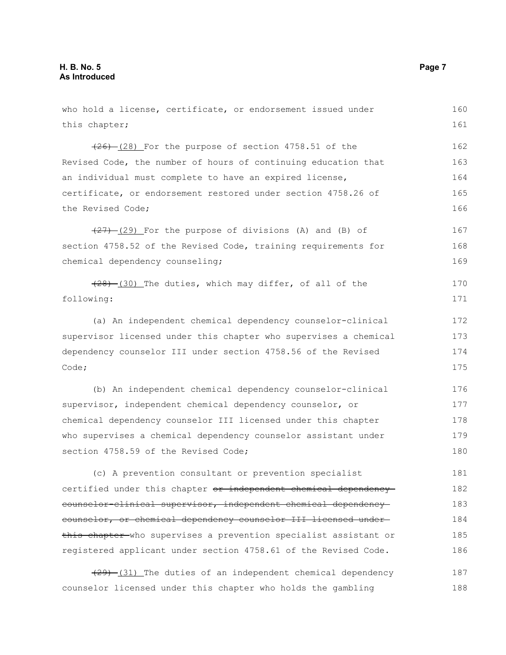who hold a license, certificate, or endorsement issued under this chapter;  $(26)$   $(28)$  For the purpose of section 4758.51 of the Revised Code, the number of hours of continuing education that an individual must complete to have an expired license, certificate, or endorsement restored under section 4758.26 of the Revised Code;  $(27)$   $(29)$  For the purpose of divisions (A) and (B) of section 4758.52 of the Revised Code, training requirements for chemical dependency counseling;  $(28)$  (30) The duties, which may differ, of all of the following: (a) An independent chemical dependency counselor-clinical supervisor licensed under this chapter who supervises a chemical dependency counselor III under section 4758.56 of the Revised Code; (b) An independent chemical dependency counselor-clinical supervisor, independent chemical dependency counselor, or chemical dependency counselor III licensed under this chapter who supervises a chemical dependency counselor assistant under section 4758.59 of the Revised Code; (c) A prevention consultant or prevention specialist certified under this chapter or independent chemical dependency counselor-clinical supervisor, independent chemical dependency counselor, or chemical dependency counselor III licensed under this chapter who supervises a prevention specialist assistant or 160 161 162 163 164 165 166 167 168 169 170 171 172 173 174 175 176 177 178 179 180 181 182 183 184 185

(29) (31) The duties of an independent chemical dependency counselor licensed under this chapter who holds the gambling 187 188

registered applicant under section 4758.61 of the Revised Code.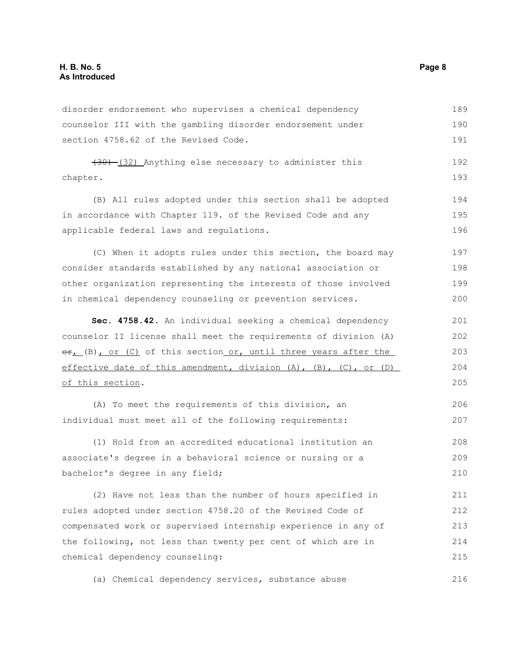disorder endorsement who supervises a chemical dependency counselor III with the gambling disorder endorsement under section 4758.62 of the Revised Code. 189 190 191

(30) (32) Anything else necessary to administer this chapter. 192 193

(B) All rules adopted under this section shall be adopted in accordance with Chapter 119. of the Revised Code and any applicable federal laws and regulations.

(C) When it adopts rules under this section, the board may consider standards established by any national association or other organization representing the interests of those involved in chemical dependency counseling or prevention services. 197 198 199 200

**Sec. 4758.42.** An individual seeking a chemical dependency counselor II license shall meet the requirements of division (A)  $\Theta$ r, (B), or (C) of this section or, until three years after the effective date of this amendment, division (A), (B), (C), or (D) of this section. 201 202 203 204 205

(A) To meet the requirements of this division, an individual must meet all of the following requirements: 206 207

(1) Hold from an accredited educational institution an associate's degree in a behavioral science or nursing or a bachelor's degree in any field; 208 209 210

(2) Have not less than the number of hours specified in rules adopted under section 4758.20 of the Revised Code of compensated work or supervised internship experience in any of the following, not less than twenty per cent of which are in chemical dependency counseling: 211 212 213 214 215

(a) Chemical dependency services, substance abuse 216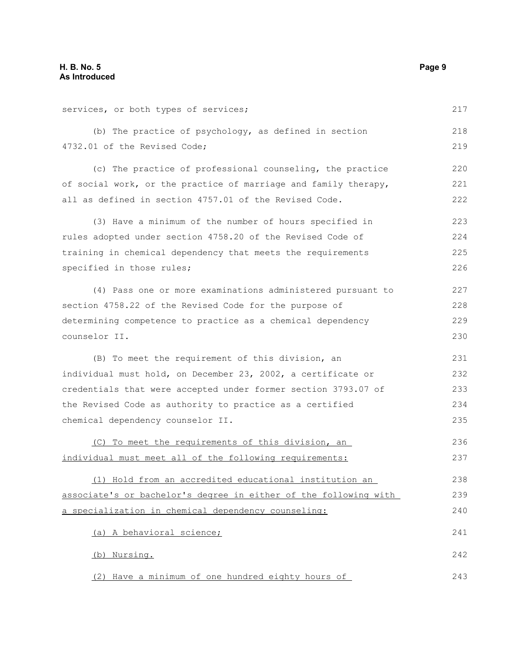services, or both types of services; (b) The practice of psychology, as defined in section 4732.01 of the Revised Code; (c) The practice of professional counseling, the practice of social work, or the practice of marriage and family therapy, all as defined in section 4757.01 of the Revised Code. (3) Have a minimum of the number of hours specified in rules adopted under section 4758.20 of the Revised Code of training in chemical dependency that meets the requirements specified in those rules; (4) Pass one or more examinations administered pursuant to section 4758.22 of the Revised Code for the purpose of determining competence to practice as a chemical dependency counselor II. (B) To meet the requirement of this division, an individual must hold, on December 23, 2002, a certificate or credentials that were accepted under former section 3793.07 of the Revised Code as authority to practice as a certified chemical dependency counselor II. (C) To meet the requirements of this division, an individual must meet all of the following requirements: (1) Hold from an accredited educational institution an associate's or bachelor's degree in either of the following with a specialization in chemical dependency counseling: (a) A behavioral science; (b) Nursing. 217 218 219 220 221 222 223 224 225 226 227 228 229 230 231 232 233 234 235 236 237 238 239 240 241 242

(2) Have a minimum of one hundred eighty hours of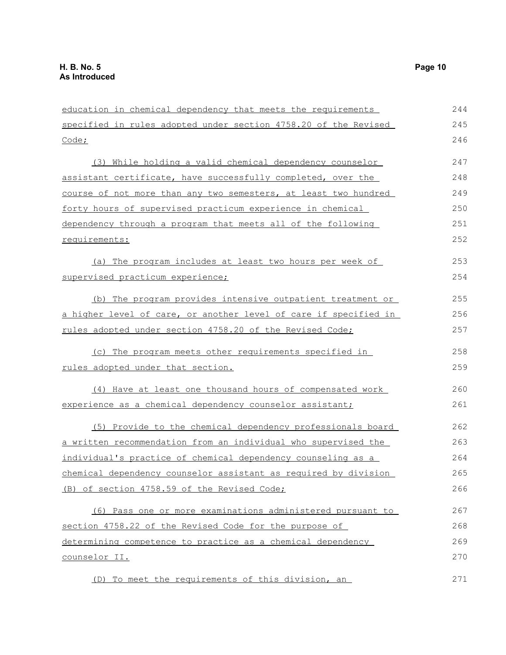education in chemical dependency that meets the requirements specified in rules adopted under section 4758.20 of the Revised Code; (3) While holding a valid chemical dependency counselor assistant certificate, have successfully completed, over the course of not more than any two semesters, at least two hundred forty hours of supervised practicum experience in chemical dependency through a program that meets all of the following requirements: (a) The program includes at least two hours per week of supervised practicum experience; (b) The program provides intensive outpatient treatment or a higher level of care, or another level of care if specified in rules adopted under section 4758.20 of the Revised Code; (c) The program meets other requirements specified in rules adopted under that section. (4) Have at least one thousand hours of compensated work experience as a chemical dependency counselor assistant; (5) Provide to the chemical dependency professionals board a written recommendation from an individual who supervised the individual's practice of chemical dependency counseling as a chemical dependency counselor assistant as required by division (B) of section 4758.59 of the Revised Code; (6) Pass one or more examinations administered pursuant to section 4758.22 of the Revised Code for the purpose of determining competence to practice as a chemical dependency counselor II. (D) To meet the requirements of this division, an 244 245 246 247 248 249 250 251 252 253 254 255 256 257 258 259 260 261 262 263 264 265 266 267 268 269 270 271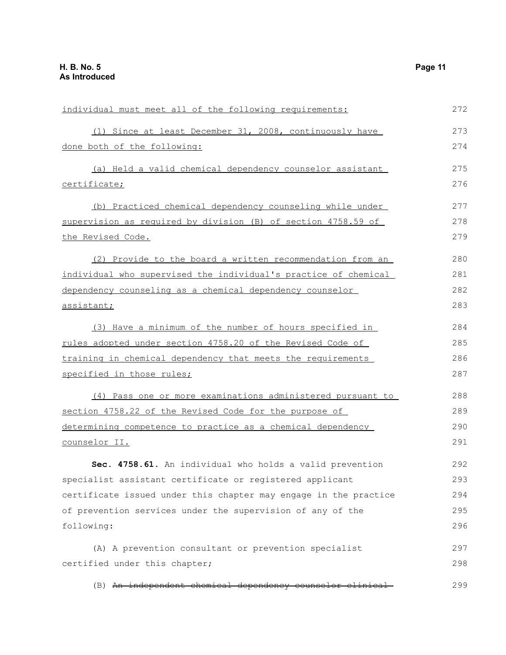| individual must meet all of the following requirements:          | 272 |
|------------------------------------------------------------------|-----|
| (1) Since at least December 31, 2008, continuously have          | 273 |
| done both of the following:                                      | 274 |
| (a) Held a valid chemical dependency counselor assistant         | 275 |
| certificate;                                                     | 276 |
| (b) Practiced chemical dependency counseling while under         | 277 |
| supervision as required by division (B) of section 4758.59 of    | 278 |
| the Revised Code.                                                | 279 |
| (2) Provide to the board a written recommendation from an        | 280 |
| individual who supervised the individual's practice of chemical  | 281 |
| dependency counseling as a chemical dependency counselor         | 282 |
| assistant;                                                       | 283 |
| (3) Have a minimum of the number of hours specified in           | 284 |
| rules adopted under section 4758.20 of the Revised Code of       | 285 |
| training in chemical dependency that meets the requirements      | 286 |
| specified in those rules;                                        | 287 |
| (4) Pass one or more examinations administered pursuant to       | 288 |
| section 4758.22 of the Revised Code for the purpose of           | 289 |
| determining competence to practice as a chemical dependency      | 290 |
| counselor II.                                                    | 291 |
| Sec. 4758.61. An individual who holds a valid prevention         | 292 |
| specialist assistant certificate or registered applicant         | 293 |
| certificate issued under this chapter may engage in the practice | 294 |
| of prevention services under the supervision of any of the       | 295 |
|                                                                  |     |
| following:                                                       | 296 |
| (A) A prevention consultant or prevention specialist             | 297 |
| certified under this chapter;                                    | 298 |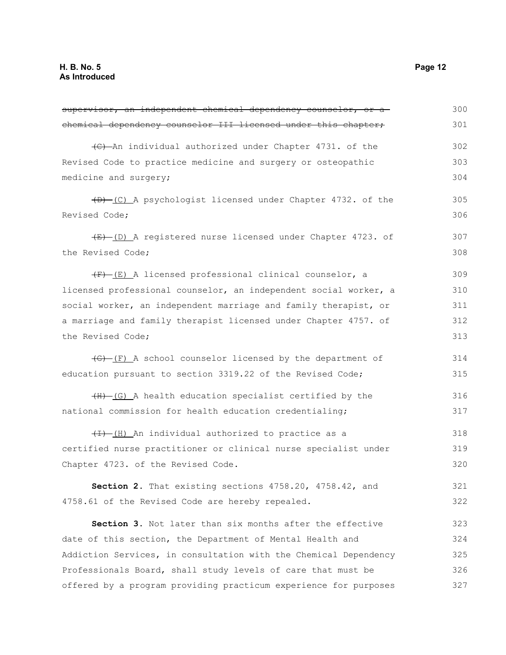| supervisor, an independent chemical dependency counselor, or a   | 300 |
|------------------------------------------------------------------|-----|
| chemical dependency counselor III licensed under this chapter,   | 301 |
| (C) An individual authorized under Chapter 4731. of the          | 302 |
| Revised Code to practice medicine and surgery or osteopathic     | 303 |
| medicine and surgery;                                            | 304 |
| (D) (C) A psychologist licensed under Chapter 4732. of the       | 305 |
| Revised Code;                                                    | 306 |
| (E) (D) A registered nurse licensed under Chapter 4723. of       | 307 |
| the Revised Code;                                                | 308 |
| (F) (E) A licensed professional clinical counselor, a            | 309 |
| licensed professional counselor, an independent social worker, a | 310 |
| social worker, an independent marriage and family therapist, or  | 311 |
| a marriage and family therapist licensed under Chapter 4757. of  | 312 |
| the Revised Code;                                                | 313 |
| (G)-(F) A school counselor licensed by the department of         | 314 |
| education pursuant to section 3319.22 of the Revised Code;       | 315 |
| (H)-(G) A health education specialist certified by the           | 316 |
| national commission for health education credentialing;          | 317 |
| (I) (H) An individual authorized to practice as a                | 318 |
| certified nurse practitioner or clinical nurse specialist under  | 319 |
| Chapter 4723. of the Revised Code.                               | 320 |
| Section 2. That existing sections 4758.20, 4758.42, and          | 321 |
| 4758.61 of the Revised Code are hereby repealed.                 | 322 |
| Section 3. Not later than six months after the effective         | 323 |
| date of this section, the Department of Mental Health and        | 324 |
| Addiction Services, in consultation with the Chemical Dependency | 325 |
| Professionals Board, shall study levels of care that must be     | 326 |
| offered by a program providing practicum experience for purposes | 327 |